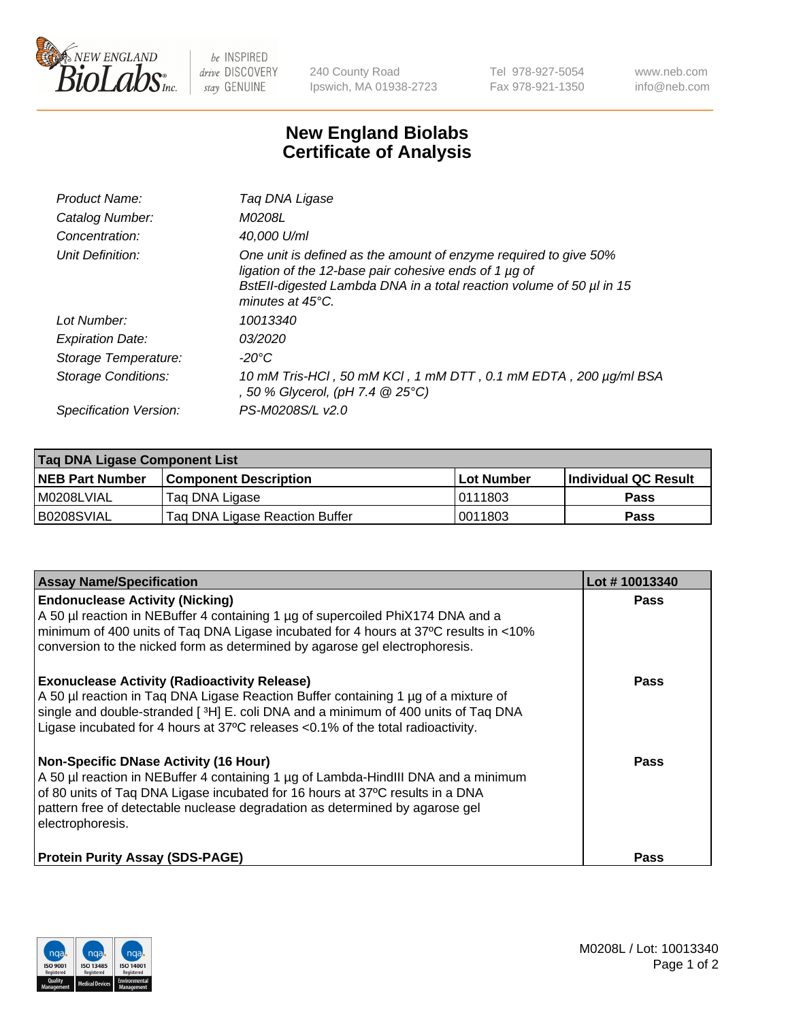

 $be$  INSPIRED drive DISCOVERY stay GENUINE

240 County Road Ipswich, MA 01938-2723 Tel 978-927-5054 Fax 978-921-1350 www.neb.com info@neb.com

## **New England Biolabs Certificate of Analysis**

| Product Name:              | Tag DNA Ligase                                                                                                                                                                                                                  |
|----------------------------|---------------------------------------------------------------------------------------------------------------------------------------------------------------------------------------------------------------------------------|
| Catalog Number:            | M0208L                                                                                                                                                                                                                          |
| Concentration:             | 40,000 U/ml                                                                                                                                                                                                                     |
| Unit Definition:           | One unit is defined as the amount of enzyme required to give 50%<br>ligation of the 12-base pair cohesive ends of 1 µg of<br>BstEll-digested Lambda DNA in a total reaction volume of 50 µl in 15<br>minutes at $45^{\circ}$ C. |
| Lot Number:                | 10013340                                                                                                                                                                                                                        |
| <b>Expiration Date:</b>    | 03/2020                                                                                                                                                                                                                         |
| Storage Temperature:       | -20°C                                                                                                                                                                                                                           |
| <b>Storage Conditions:</b> | 10 mM Tris-HCl, 50 mM KCl, 1 mM DTT, 0.1 mM EDTA, 200 µg/ml BSA<br>, 50 % Glycerol, (pH 7.4 @ 25°C)                                                                                                                             |
| Specification Version:     | PS-M0208S/L v2.0                                                                                                                                                                                                                |

| Taq DNA Ligase Component List |                                |            |                      |  |
|-------------------------------|--------------------------------|------------|----------------------|--|
| <b>NEB Part Number</b>        | <b>Component Description</b>   | Lot Number | Individual QC Result |  |
| M0208LVIAL                    | Tag DNA Ligase                 | 10111803   | <b>Pass</b>          |  |
| B0208SVIAL                    | Taq DNA Ligase Reaction Buffer | 0011803    | Pass                 |  |

| <b>Assay Name/Specification</b>                                                                                                                                                                                                                                                                                         | Lot #10013340 |
|-------------------------------------------------------------------------------------------------------------------------------------------------------------------------------------------------------------------------------------------------------------------------------------------------------------------------|---------------|
| <b>Endonuclease Activity (Nicking)</b><br>A 50 µl reaction in NEBuffer 4 containing 1 µg of supercoiled PhiX174 DNA and a<br>minimum of 400 units of Taq DNA Ligase incubated for 4 hours at 37°C results in <10%<br>conversion to the nicked form as determined by agarose gel electrophoresis.                        | <b>Pass</b>   |
| <b>Exonuclease Activity (Radioactivity Release)</b><br>A 50 µl reaction in Taq DNA Ligase Reaction Buffer containing 1 µg of a mixture of<br>single and double-stranded [3H] E. coli DNA and a minimum of 400 units of Taq DNA<br>Ligase incubated for 4 hours at 37°C releases <0.1% of the total radioactivity.       | <b>Pass</b>   |
| <b>Non-Specific DNase Activity (16 Hour)</b><br>A 50 µl reaction in NEBuffer 4 containing 1 µg of Lambda-HindIII DNA and a minimum<br>of 80 units of Taq DNA Ligase incubated for 16 hours at 37°C results in a DNA<br>pattern free of detectable nuclease degradation as determined by agarose gel<br>electrophoresis. | <b>Pass</b>   |
| <b>Protein Purity Assay (SDS-PAGE)</b>                                                                                                                                                                                                                                                                                  | <b>Pass</b>   |